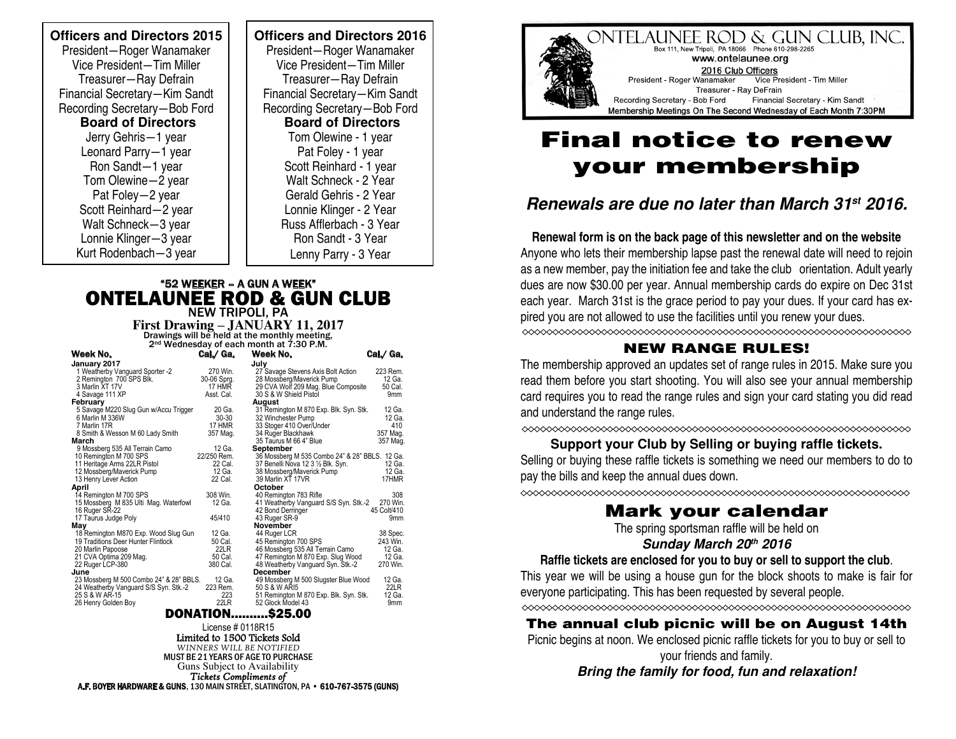**Officers and Directors 2015**  President—Roger Wanamaker Vice President—Tim Miller Treasurer—Ray Defrain Financial Secretary—Kim Sandt Recording Secretary—Bob Ford  **Board of Directors** Jerry Gehris—1 year Leonard Parry—1 year Ron Sandt—1 year Tom Olewine—2 year Pat Foley—2 year Scott Reinhard—2 year Walt Schneck—3 year Lonnie Klinger—3 year Kurt Rodenbach—3 year

**Officers and Directors 2016**  President—Roger Wanamaker Vice President—Tim Miller Treasurer—Ray Defrain Financial Secretary—Kim Sandt Recording Secretary—Bob Ford  **Board of Directors** Tom Olewine - 1 year Pat Foley - 1 year Scott Reinhard - 1 year Walt Schneck - 2 Year Gerald Gehris - 2 Year Lonnie Klinger - 2 Year Russ Afflerbach - 3 Year Ron Sandt - 3 Year Lenny Parry - 3 Year

### "52 WEEKER – A GUN A WEEK" ONTELAUNEE ROD & GUN CLUB

NEW TRIPOLI, PA **First Drawing – JANUARY 11, 2017** Drawings will be held at the monthly meeting, 2nd Wednesday of each month at 7:30 P.M.

| Week No.                                | Cal.⁄ Ga.                            | Week No.                                       | Cal./ Ga.       |
|-----------------------------------------|--------------------------------------|------------------------------------------------|-----------------|
| January 2017                            |                                      | Julv                                           |                 |
| 1 Weatherby Vanguard Sporter -2         | 270 Win.                             | 27 Savage Stevens Axis Bolt Action             | 223 Rem.        |
| 2 Remington 700 SPS Blk.                | 30-06 Sprg.                          | 28 Mossberg/Maverick Pump                      | 12 Ga.          |
| 3 Marlin XT 17V                         | 17 HMR                               | 29 CVA Wolf 209 Mag. Blue Composite            | 50 Cal.         |
| 4 Savage 111 XP                         | 30 S & W Shield Pistol<br>Asst. Cal. |                                                | 9mm             |
| February                                |                                      | August                                         |                 |
| 5 Savage M220 Slug Gun w/Accu Trigger   | 20 Ga.                               | 31 Remington M 870 Exp. Blk. Syn. Stk.         | 12 Ga.          |
| 6 Marlin M 336W                         | $30 - 30$                            | 32 Winchester Pump                             | 12 Ga.          |
| 7 Marlin 17R                            | 17 HMR                               | 33 Stoger 410 Over/Under                       | 410             |
| 8 Smith & Wesson M 60 Lady Smith        | 357 Mag.                             | 34 Ruger Blackhawk                             | 357 Mag.        |
| March                                   |                                      | 35 Taurus M 66 4" Blue                         | 357 Mag.        |
| 9 Mossberg 535 All Terrain Camo         | 12 Ga.                               | September                                      |                 |
| 10 Remington M 700 SPS                  | 22/250 Rem.                          | 36 Mossberg M 535 Combo 24" & 28" BBLS. 12 Ga. |                 |
| 11 Heritage Arms 22LR Pistol            | 22 Cal.                              | 37 Benelli Nova 12 3 1/2 Blk. Syn.             | 12 Ga.          |
| 12 Mossberg/Maverick Pump               | 12 Ga.                               | 38 Mossberg/Maverick Pump                      | 12 Ga.          |
| 13 Henry Lever Action                   | 22 Cal.                              | 39 Marlin XT 17VR                              | 17HMR           |
| April                                   |                                      | October                                        |                 |
| 14 Remington M 700 SPS                  | 308 Win.                             | 40 Remington 783 Rifle                         | 308             |
| 15 Mossberg M 835 Ulti Mag. Waterfowl   | 12 Ga.                               | 41 Weatherby Vanguard S/S Syn. Stk.-2          | 270 Win.        |
| 16 Ruger SR-22                          |                                      | 42 Bond Derringer                              | 45 Colt/410     |
| 17 Taurus Judge Poly                    | 45/410                               | 43 Ruger SR-9                                  | 9 <sub>mm</sub> |
| Mav                                     |                                      | November                                       |                 |
| 18 Remington M870 Exp. Wood Slug Gun    | 12 Ga.                               | 44 Ruger LCR                                   | 38 Spec.        |
| 19 Traditions Deer Hunter Flintlock     | 50 Cal.                              | 45 Remington 700 SPS                           | 243 Win.        |
| 20 Marlin Papoose                       | 22LR                                 | 46 Mossberg 535 All Terrain Camo               | 12 Ga.          |
| 21 CVA Optima 209 Mag.                  | 50 Cal.                              | 47 Remington M 870 Exp. Slug Wood              | 12 Ga.          |
| 22 Ruger LCP-380                        | 380 Cal.                             | 48 Weatherby Vanguard Syn. Stk.-2              | 270 Win.        |
| June                                    |                                      | December                                       |                 |
| 23 Mossberg M 500 Combo 24" & 28" BBLS. | 12 Ga.                               | 49 Mossberg M 500 Slugster Blue Wood           | 12 Ga.          |
| 24 Weatherby Vanguard S/S Syn. Stk.-2   | 223 Rem.                             | 50 S & W ARI5                                  | 22LR            |
| 25 S & W AR-15                          | 223                                  | 51 Remington M 870 Exp. Blk. Syn. Stk.         | 12 Ga.          |
| 26 Henry Golden Boy                     | 22LR                                 | 52 Glock Model 43                              | 9mm             |
|                                         | <b>DANATIAN</b>                      | 69E NN                                         |                 |

DONATION..........\$25.00

License # 0118R15 Limited to 1500 Tickets Sold *WINNERS WILL BE NOTIFIED* MUST BE 21 YEARS OF AGE TO PURCHASE Guns Subject to Availability *Tickets Compliments of* A.F. BOYER HARDWARE & GUNS, 130 MAIN STREET, SLATINGTON, PA • 610-767-3575 (GUNS)



# Final notice to renew your membership

## *Renewals are due no later than March 31st 2016.*

**Renewal form is on the back page of this newsletter and on the website**  Anyone who lets their membership lapse past the renewal date will need to rejoin as a new member, pay the initiation fee and take the club orientation. Adult yearly dues are now \$30.00 per year. Annual membership cards do expire on Dec 31st each year. March 31st is the grace period to pay your dues. If your card has expired you are not allowed to use the facilities until you renew your dues.

### NEW RANGE RULES!

The membership approved an updates set of range rules in 2015. Make sure you read them before you start shooting. You will also see your annual membership card requires you to read the range rules and sign your card stating you did read and understand the range rules.

#### **Support your Club by Selling or buying raffle tickets.**

Selling or buying these raffle tickets is something we need our members to do to pay the bills and keep the annual dues down.

### Mark your calendar

The spring sportsman raffle will be held on

#### *Sunday March 20th 2016*

#### **Raffle tickets are enclosed for you to buy or sell to support the club**.

This year we will be using a house gun for the block shoots to make is fair for everyone participating. This has been requested by several people.

### The annual club picnic will be on August 14th

Picnic begins at noon. We enclosed picnic raffle tickets for you to buy or sell to your friends and family.

*Bring the family for food, fun and relaxation!*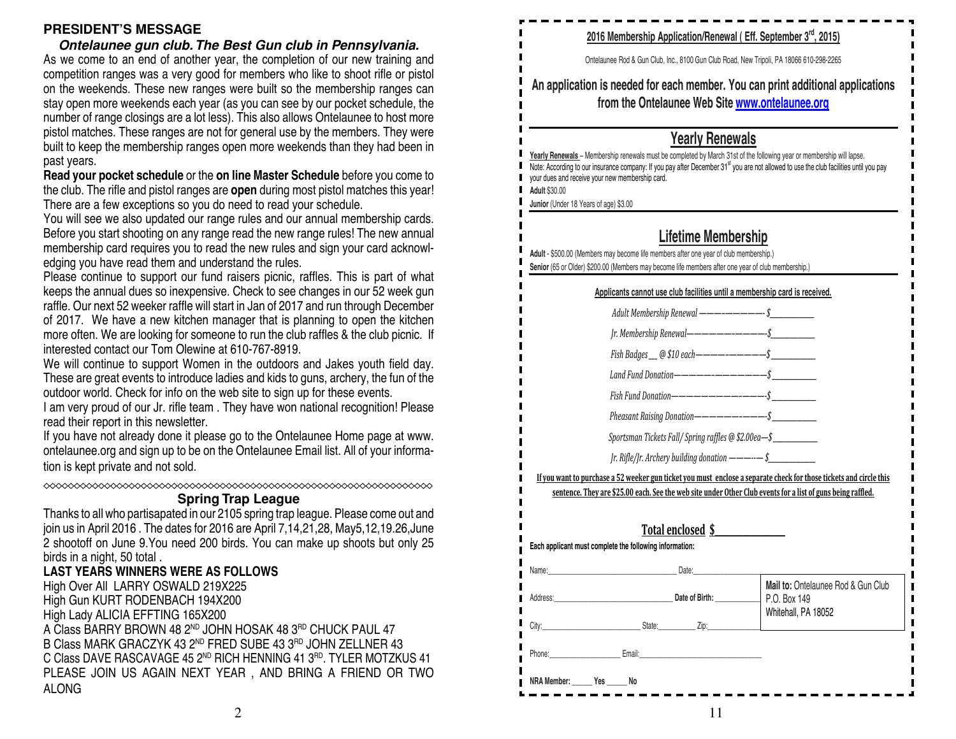#### **PRESIDENT'S MESSAGE**

*Ontelaunee gun club. The Best Gun club in Pennsylvania.* As we come to an end of another year, the completion of our new training and competition ranges was a very good for members who like to shoot rifle or pistol on the weekends. These new ranges were built so the membership ranges can stay open more weekends each year (as you can see by our pocket schedule, the number of range closings are a lot less). This also allows Ontelaunee to host more pistol matches. These ranges are not for general use by the members. They were built to keep the membership ranges open more weekends than they had been in past years.

**Read your pocket schedule** or the **on line Master Schedule** before you come to the club. The rifle and pistol ranges are **open** during most pistol matches this year! There are a few exceptions so you do need to read your schedule.

You will see we also updated our range rules and our annual membership cards. Before you start shooting on any range read the new range rules! The new annual membership card requires you to read the new rules and sign your card acknowledging you have read them and understand the rules.

Please continue to support our fund raisers picnic, raffles. This is part of what keeps the annual dues so inexpensive. Check to see changes in our 52 week gun raffle. Our next 52 weeker raffle will start in Jan of 2017 and run through December of 2017. We have a new kitchen manager that is planning to open the kitchen more often. We are looking for someone to run the club raffles & the club picnic. If interested contact our Tom Olewine at 610-767-8919.

We will continue to support Women in the outdoors and Jakes youth field day. These are great events to introduce ladies and kids to guns, archery, the fun of the outdoor world. Check for info on the web site to sign up for these events.

I am very proud of our Jr. rifle team . They have won national recognition! Please read their report in this newsletter.

If you have not already done it please go to the Ontelaunee Home page at www. ontelaunee.org and sign up to be on the Ontelaunee Email list. All of your information is kept private and not sold.

#### **Spring Trap League**

Thanks to all who partisapated in our 2105 spring trap league. Please come out and join us in April 2016 . The dates for 2016 are April 7,14,21,28, May5,12,19.26,June 2 shootoff on June 9.You need 200 birds. You can make up shoots but only 25 birds in a night, 50 total.

#### **LAST YEARS WINNERS WERE AS FOLLOWS**

High Over All LARRY OSWALD 219X225 High Gun KURT RODENBACH 194X200 High Lady ALICIA EFFTING 165X200 A Class BARRY BROWN 48 2<sup>ND</sup> JOHN HOSAK 48 3<sup>RD</sup> CHUCK PAUL 47 B Class MARK GRACZYK 43 2ND FRED SUBE 43 3RD JOHN ZELLNER 43 C Class DAVE RASCAVAGE 45 2<sup>ND</sup> RICH HENNING 41  $3^{RD}$ . TYLER MOTZKUS 41 PLEASE JOIN US AGAIN NEXT YEAR , AND BRING A FRIEND OR TWO ALONG

|                                                                                       | 2016 Membership Application/Renewal (Eff. September 3rd, 2015)                                                                                                                              |  |  |
|---------------------------------------------------------------------------------------|---------------------------------------------------------------------------------------------------------------------------------------------------------------------------------------------|--|--|
| est Gun club in Pennsylvania.                                                         |                                                                                                                                                                                             |  |  |
| the completion of our new training and                                                | Ontelaunee Rod & Gun Club, Inc., 8100 Gun Club Road, New Tripoli, PA 18066 610-298-2265                                                                                                     |  |  |
| members who like to shoot rifle or pistol                                             | An application is needed for each member. You can print additional applications                                                                                                             |  |  |
| vere built so the membership ranges can                                               | from the Ontelaunee Web Site www.ontelaunee.org                                                                                                                                             |  |  |
| s you can see by our pocket schedule, the<br>This also allows Ontelaunee to host more |                                                                                                                                                                                             |  |  |
|                                                                                       |                                                                                                                                                                                             |  |  |
| r general use by the members. They were<br>en more weekends than they had been in     | <b>Yearly Renewals</b>                                                                                                                                                                      |  |  |
|                                                                                       | Yearly Renewals - Membership renewals must be completed by March 31st of the following year or membership will lapse.                                                                       |  |  |
| ine Master Schedule before you come to                                                | Note: According to our insurance company: If you pay after December 31 <sup>st</sup> you are not allowed to use the club facilities until you pay                                           |  |  |
| <b>ppen</b> during most pistol matches this year!                                     | your dues and receive your new membership card.<br><b>Adult \$30.00</b>                                                                                                                     |  |  |
| eed to read your schedule.                                                            | Junior (Under 18 Years of age) \$3.00                                                                                                                                                       |  |  |
| rules and our annual membership cards.                                                |                                                                                                                                                                                             |  |  |
| ead the new range rules! The new annual                                               |                                                                                                                                                                                             |  |  |
| he new rules and sign your card acknowl-                                              | Lifetime Membership                                                                                                                                                                         |  |  |
| tand the rules.                                                                       | Adult - \$500.00 (Members may become life members after one year of club membership.)<br>Senior (65 or Older) \$200.00 (Members may become life members after one year of club membership.) |  |  |
| isers picnic, raffles. This is part of what                                           |                                                                                                                                                                                             |  |  |
| Check to see changes in our 52 week gun                                               | Applicants cannot use club facilities until a membership card is received.                                                                                                                  |  |  |
| in Jan of 2017 and run through December                                               |                                                                                                                                                                                             |  |  |
| ager that is planning to open the kitchen                                             | Adult Membership Renewal -----------\$                                                                                                                                                      |  |  |
| to run the club raffles & the club picnic. If                                         | Jr. Membership Renewal——————————-\$                                                                                                                                                         |  |  |
| 10-767-8919.                                                                          | Fish Badges __ @ \$10 each------------\$                                                                                                                                                    |  |  |
| the outdoors and Jakes youth field day.                                               |                                                                                                                                                                                             |  |  |
| es and kids to guns, archery, the fun of the                                          |                                                                                                                                                                                             |  |  |
| b site to sign up for these events.                                                   |                                                                                                                                                                                             |  |  |
| ey have won national recognition! Please                                              |                                                                                                                                                                                             |  |  |
|                                                                                       | Pheasant Raising Donation------------\$                                                                                                                                                     |  |  |
| o to the Ontelaunee Home page at www.                                                 | Sportsman Tickets Fall/ Spring raffles @ \$2.00ea-\$                                                                                                                                        |  |  |
| Ontelaunee Email list. All of your informa-                                           | Jr. Rifle/Jr. Archery building donation $-\!-\!-\!-\$ \$                                                                                                                                    |  |  |
|                                                                                       |                                                                                                                                                                                             |  |  |
| XXXXXXXXXXXXXXXXXXXXXXXXXXXXXXXXX                                                     | If you want to purchase a 52 weeker gun ticket you must enclose a separate check for those tickets and circle this                                                                          |  |  |
| ap League                                                                             | sentence. They are \$25.00 each. See the web site under Other Club events for a list of guns being raffled.                                                                                 |  |  |
| 5 spring trap league. Please come out and                                             |                                                                                                                                                                                             |  |  |
| are April 7,14,21,28, May5,12,19.26, June                                             | Total enclosed \$                                                                                                                                                                           |  |  |
| ds. You can make up shoots but only 25                                                | Each applicant must complete the following information:                                                                                                                                     |  |  |
|                                                                                       |                                                                                                                                                                                             |  |  |
| <b>DLLOWS</b>                                                                         | Date:<br>Name:                                                                                                                                                                              |  |  |
| 25                                                                                    | Mail to: Ontelaunee Rod & Gun Club                                                                                                                                                          |  |  |
| 0                                                                                     | Date of Birth:<br>Address:<br>P.O. Box 149                                                                                                                                                  |  |  |
|                                                                                       | Whitehall, PA 18052<br>State:<br>Zip:                                                                                                                                                       |  |  |
| HOSAK 48 3RD CHUCK PAUL 47                                                            | City:                                                                                                                                                                                       |  |  |
| ) SUBE 43 3RD JOHN ZELLNER 43                                                         | Email:<br>Phone:                                                                                                                                                                            |  |  |
| H HENNING 41 3RD. TYLER MOTZKUS 41                                                    |                                                                                                                                                                                             |  |  |
| AR , AND BRING A FRIEND OR TWO                                                        | NRA Member:<br>Yes<br>No                                                                                                                                                                    |  |  |
|                                                                                       |                                                                                                                                                                                             |  |  |
| 2                                                                                     | 11                                                                                                                                                                                          |  |  |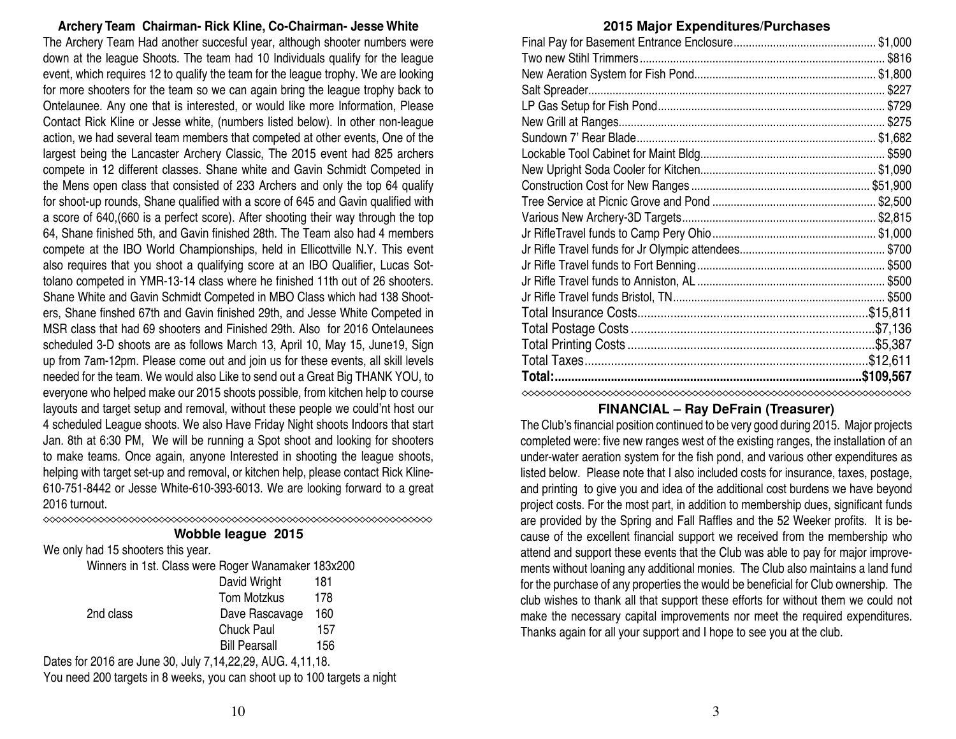compete at the IBO World Championships, held in Ellicottville N.Y. This event also requires that you shoot a qualifying score at an IBO Qualifier, Lucas Sottolano competed in YMR-13-14 class where he finished 11th out of 26 shooters. Shane White and Gavin Schmidt Competed in MBO Class which had 138 Shooters, Shane finshed 67th and Gavin finished 29th, and Jesse White Competed in MSR class that had 69 shooters and Finished 29th. Also for 2016 Ontelaunees scheduled 3-D shoots are as follows March 13, April 10, May 15, June19, Sign up from 7am-12pm. Please come out and join us for these events, all skill levels needed for the team. We would also Like to send out a Great Big THANK YOU, to everyone who helped make our 2015 shoots possible, from kitchen help to course layouts and target setup and removal, without these people we could'nt host our 4 scheduled League shoots. We also Have Friday Night shoots Indoors that start Jan. 8th at 6:30 PM, We will be running a Spot shoot and looking for shooters to make teams. Once again, anyone Interested in shooting the league shoots, helping with target set-up and removal, or kitchen help, please contact Rick Kline-610-751-8442 or Jesse White-610-393-6013. We are looking forward to a great 2016 turnout. **Wobble league 2015** We only had 15 shooters this year. Winners in 1st. Class were Roger Wanamaker 183x200 David Wright 181 Tom Motzkus 178 2nd class Dave Rascavage 160 Chuck Paul 157 Bill Pearsall 156 Dates for 2016 are June 30, July 7,14,22,29, AUG. 4,11,18. You need 200 targets in 8 weeks, you can shoot up to 100 targets a night 10 3

**Archery Team Chairman- Rick Kline, Co-Chairman- Jesse White** The Archery Team Had another succesful year, although shooter numbers were down at the league Shoots. The team had 10 Individuals qualify for the league event, which requires 12 to qualify the team for the league trophy. We are looking for more shooters for the team so we can again bring the league trophy back to Ontelaunee. Any one that is interested, or would like more Information, Please Contact Rick Kline or Jesse white, (numbers listed below). In other non-league action, we had several team members that competed at other events, One of the largest being the Lancaster Archery Classic, The 2015 event had 825 archers compete in 12 different classes. Shane white and Gavin Schmidt Competed in the Mens open class that consisted of 233 Archers and only the top 64 qualify for shoot-up rounds, Shane qualified with a score of 645 and Gavin qualified with a score of 640,(660 is a perfect score). After shooting their way through the top 64, Shane finished 5th, and Gavin finished 28th. The Team also had 4 members

### **2015 Major Expenditures/Purchases**

| <b>EVID MAJUL EXPERIGNMENT GIURISES</b> |  |
|-----------------------------------------|--|
|                                         |  |
|                                         |  |
|                                         |  |
|                                         |  |
|                                         |  |
|                                         |  |
|                                         |  |
|                                         |  |
|                                         |  |
|                                         |  |
|                                         |  |
|                                         |  |
|                                         |  |
|                                         |  |
|                                         |  |
|                                         |  |
|                                         |  |
|                                         |  |
|                                         |  |
|                                         |  |
|                                         |  |
| Total:.                                 |  |
|                                         |  |

### **FINANCIAL – Ray DeFrain (Treasurer)**

The Club's financial position continued to be very good during 2015. Major projects completed were: five new ranges west of the existing ranges, the installation of an under-water aeration system for the fish pond, and various other expenditures as listed below. Please note that I also included costs for insurance, taxes, postage, and printing to give you and idea of the additional cost burdens we have beyond project costs. For the most part, in addition to membership dues, significant funds are provided by the Spring and Fall Raffles and the 52 Weeker profits. It is because of the excellent financial support we received from the membership who attend and support these events that the Club was able to pay for major improvements without loaning any additional monies. The Club also maintains a land fund for the purchase of any properties the would be beneficial for Club ownership. The club wishes to thank all that support these efforts for without them we could not make the necessary capital improvements nor meet the required expenditures. Thanks again for all your support and I hope to see you at the club.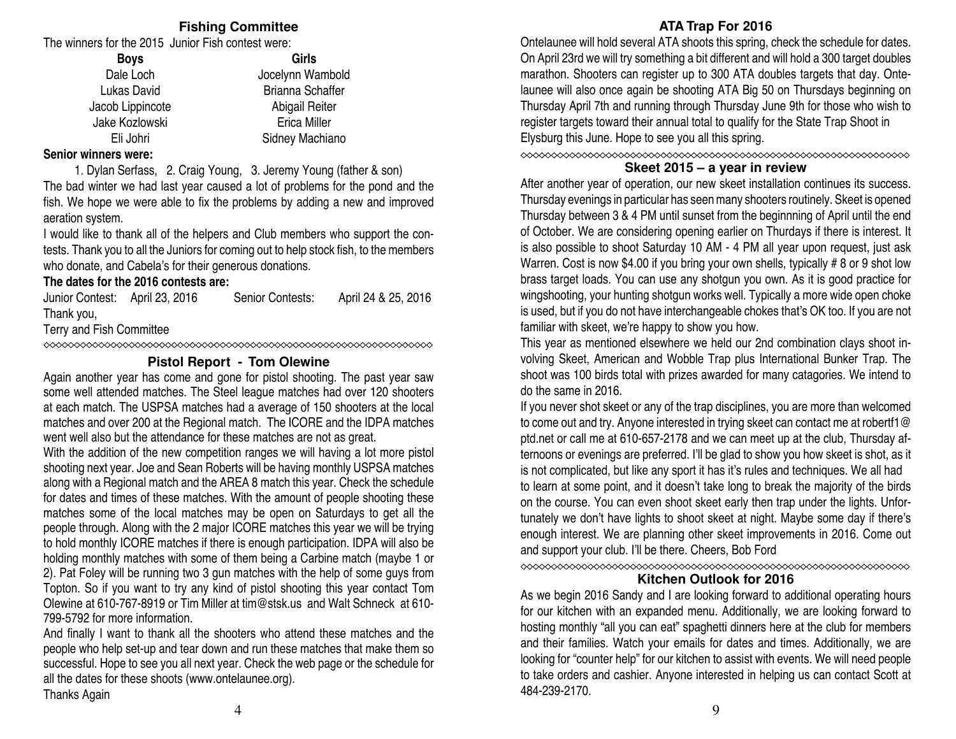### **Fishing Committee**

The winners for the 2015 Junior Fish contest were:

| Girls                   |
|-------------------------|
| Jocelynn Wambold        |
| <b>Brianna Schaffer</b> |
| Abigail Reiter          |
| <b>Erica Miller</b>     |
| Sidney Machiano         |
|                         |

#### **Senior winners were:**

1. Dylan Serfass, 2. Craig Young, 3. Jeremy Young (father & son)

The bad winter we had last year caused a lot of problems for the pond and the fish. We hope we were able to fix the problems by adding a new and improved aeration system.

I would like to thank all of the helpers and Club members who support the contests. Thank you to all the Juniors for coming out to help stock fish, to the members who donate, and Cabela's for their generous donations.

#### **The dates for the 2016 contests are:**

Junior Contest: April 23, 2016 Senior Contests: April 24 & 25, 2016 Thank you,

Terry and Fish Committee

### **Pistol Report - Tom Olewine**

Again another year has come and gone for pistol shooting. The past year saw some well attended matches. The Steel league matches had over 120 shooters at each match. The USPSA matches had a average of 150 shooters at the local matches and over 200 at the Regional match. The ICORE and the IDPA matches went well also but the attendance for these matches are not as great.

With the addition of the new competition ranges we will having a lot more pistol shooting next year. Joe and Sean Roberts will be having monthly USPSA matches along with a Regional match and the AREA 8 match this year. Check the schedule for dates and times of these matches. With the amount of people shooting these matches some of the local matches may be open on Saturdays to get all the people through. Along with the 2 major ICORE matches this year we will be trying to hold monthly ICORE matches if there is enough participation. IDPA will also be holding monthly matches with some of them being a Carbine match (maybe 1 or 2). Pat Foley will be running two 3 gun matches with the help of some guys from Topton. So if you want to try any kind of pistol shooting this year contact Tom Olewine at 610-767-8919 or Tim Miller at tim@stsk.us and Walt Schneck at 610- 799-5792 for more information.

And finally I want to thank all the shooters who attend these matches and the people who help set-up and tear down and run these matches that make them so successful. Hope to see you all next year. Check the web page or the schedule for all the dates for these shoots (www.ontelaunee.org).

Thanks Again

### **ATA Trap For 2016**

Ontelaunee will hold several ATA shoots this spring, check the schedule for dates. On April 23rd we will try something a bit different and will hold a 300 target doubles marathon. Shooters can register up to 300 ATA doubles targets that day. Ontelaunee will also once again be shooting ATA Big 50 on Thursdays beginning on Thursday April 7th and running through Thursday June 9th for those who wish to register targets toward their annual total to qualify for the State Trap Shoot in Elysburg this June. Hope to see you all this spring.

### **Skeet 2015 – a year in review**

After another year of operation, our new skeet installation continues its success. Thursday evenings in particular has seen many shooters routinely. Skeet is opened Thursday between 3 & 4 PM until sunset from the beginnning of April until the end of October. We are considering opening earlier on Thurdays if there is interest. It is also possible to shoot Saturday 10 AM - 4 PM all year upon request, just ask Warren. Cost is now \$4.00 if you bring your own shells, typically #8 or 9 shot low brass target loads. You can use any shotgun you own. As it is good practice for wingshooting, your hunting shotgun works well. Typically a more wide open choke is used, but if you do not have interchangeable chokes that's OK too. If you are not familiar with skeet, we're happy to show you how.

This year as mentioned elsewhere we held our 2nd combination clays shoot involving Skeet, American and Wobble Trap plus International Bunker Trap. The shoot was 100 birds total with prizes awarded for many catagories. We intend to do the same in 2016.

If you never shot skeet or any of the trap disciplines, you are more than welcomed to come out and try. Anyone interested in trying skeet can contact me at robertf1@ ptd.net or call me at 610-657-2178 and we can meet up at the club, Thursday afternoons or evenings are preferred. I'll be glad to show you how skeet is shot, as it is not complicated, but like any sport it has it's rules and techniques. We all had to learn at some point, and it doesn't take long to break the majority of the birds on the course. You can even shoot skeet early then trap under the lights. Unfortunately we don't have lights to shoot skeet at night. Maybe some day if there's enough interest. We are planning other skeet improvements in 2016. Come out and support your club. I'll be there. Cheers, Bob Ford

**Kitchen Outlook for 2016**

As we begin 2016 Sandy and I are looking forward to additional operating hours for our kitchen with an expanded menu. Additionally, we are looking forward to hosting monthly "all you can eat" spaghetti dinners here at the club for members and their families. Watch your emails for dates and times. Additionally, we are looking for "counter help" for our kitchen to assist with events. We will need people to take orders and cashier. Anyone interested in helping us can contact Scott at 484-239-2170.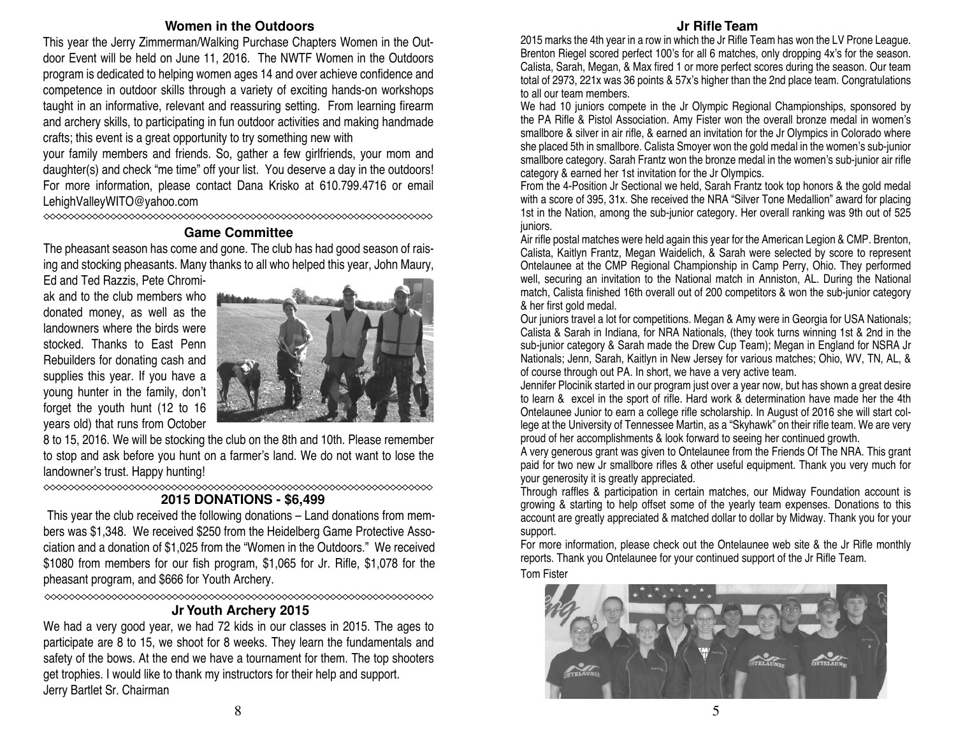#### **Women in the Outdoors**

This year the Jerry Zimmerman/Walking Purchase Chapters Women in the Outdoor Event will be held on June 11, 2016. The NWTF Women in the Outdoors program is dedicated to helping women ages 14 and over achieve confidence and competence in outdoor skills through a variety of exciting hands-on workshops taught in an informative, relevant and reassuring setting. From learning firearm and archery skills, to participating in fun outdoor activities and making handmade crafts; this event is a great opportunity to try something new with

your family members and friends. So, gather a few girlfriends, your mom and daughter(s) and check "me time" off your list. You deserve a day in the outdoors! For more information, please contact Dana Krisko at 610.799.4716 or email LehighValleyWITO@yahoo.com

### **Game Committee**

The pheasant season has come and gone. The club has had good season of raising and stocking pheasants. Many thanks to all who helped this year, John Maury,

Ed and Ted Razzis, Pete Chromiak and to the club members who donated money, as well as the landowners where the birds were stocked. Thanks to East Penn Rebuilders for donating cash and supplies this year. If you have a young hunter in the family, don't forget the youth hunt (12 to 16 years old) that runs from October



8 to 15, 2016. We will be stocking the club on the 8th and 10th. Please remember to stop and ask before you hunt on a farmer's land. We do not want to lose the landowner's trust. Happy hunting!

#### **2015 DONATIONS - \$6,499**

This year the club received the following donations – Land donations from members was \$1,348. We received \$250 from the Heidelberg Game Protective Association and a donation of \$1,025 from the "Women in the Outdoors." We received \$1080 from members for our fish program, \$1,065 for Jr. Rifle, \$1,078 for the pheasant program, and \$666 for Youth Archery.

### 

### **Jr Youth Archery 2015**

We had a very good year, we had 72 kids in our classes in 2015. The ages to participate are 8 to 15, we shoot for 8 weeks. They learn the fundamentals and safety of the bows. At the end we have a tournament for them. The top shooters get trophies. I would like to thank my instructors for their help and support. Jerry Bartlet Sr. Chairman

### **Jr Rifle Team**

2015 marks the 4th year in a row in which the Jr Rifle Team has won the LV Prone League. Brenton Riegel scored perfect 100's for all 6 matches, only dropping 4x's for the season. Calista, Sarah, Megan, & Max fired 1 or more perfect scores during the season. Our team total of 2973, 221x was 36 points & 57x's higher than the 2nd place team. Congratulations to all our team members.

We had 10 juniors compete in the Jr Olympic Regional Championships, sponsored by the PA Rifle & Pistol Association. Amy Fister won the overall bronze medal in women's smallbore & silver in air rifle, & earned an invitation for the Jr Olympics in Colorado where she placed 5th in smallbore. Calista Smoyer won the gold medal in the women's sub-junior smallbore category. Sarah Frantz won the bronze medal in the women's sub-junior air rifle category & earned her 1st invitation for the Jr Olympics.

From the 4-Position Jr Sectional we held, Sarah Frantz took top honors & the gold medal with a score of 395, 31x. She received the NRA "Silver Tone Medallion" award for placing 1st in the Nation, among the sub-junior category. Her overall ranking was 9th out of 525 juniors.

Air rifle postal matches were held again this year for the American Legion & CMP. Brenton, Calista, Kaitlyn Frantz, Megan Waidelich, & Sarah were selected by score to represent Ontelaunee at the CMP Regional Championship in Camp Perry, Ohio. They performed well, securing an invitation to the National match in Anniston, AL. During the National match, Calista finished 16th overall out of 200 competitors & won the sub-junior category & her first gold medal.

Our juniors travel a lot for competitions. Megan & Amy were in Georgia for USA Nationals; Calista & Sarah in Indiana, for NRA Nationals, (they took turns winning 1st & 2nd in the sub-junior category & Sarah made the Drew Cup Team); Megan in England for NSRA Jr Nationals; Jenn, Sarah, Kaitlyn in New Jersey for various matches; Ohio, WV, TN, AL, & of course through out PA. In short, we have a very active team.

Jennifer Plocinik started in our program just over a year now, but has shown a great desire to learn & excel in the sport of rifle. Hard work & determination have made her the 4th Ontelaunee Junior to earn a college rifle scholarship. In August of 2016 she will start college at the University of Tennessee Martin, as a "Skyhawk" on their rifle team. We are very proud of her accomplishments & look forward to seeing her continued growth.

A very generous grant was given to Ontelaunee from the Friends Of The NRA. This grant paid for two new Jr smallbore rifles & other useful equipment. Thank you very much for your generosity it is greatly appreciated.

Through raffles & participation in certain matches, our Midway Foundation account is growing & starting to help offset some of the yearly team expenses. Donations to this account are greatly appreciated & matched dollar to dollar by Midway. Thank you for your support.

For more information, please check out the Ontelaunee web site & the Jr Rifle monthly reports. Thank you Ontelaunee for your continued support of the Jr Rifle Team. Tom Fister